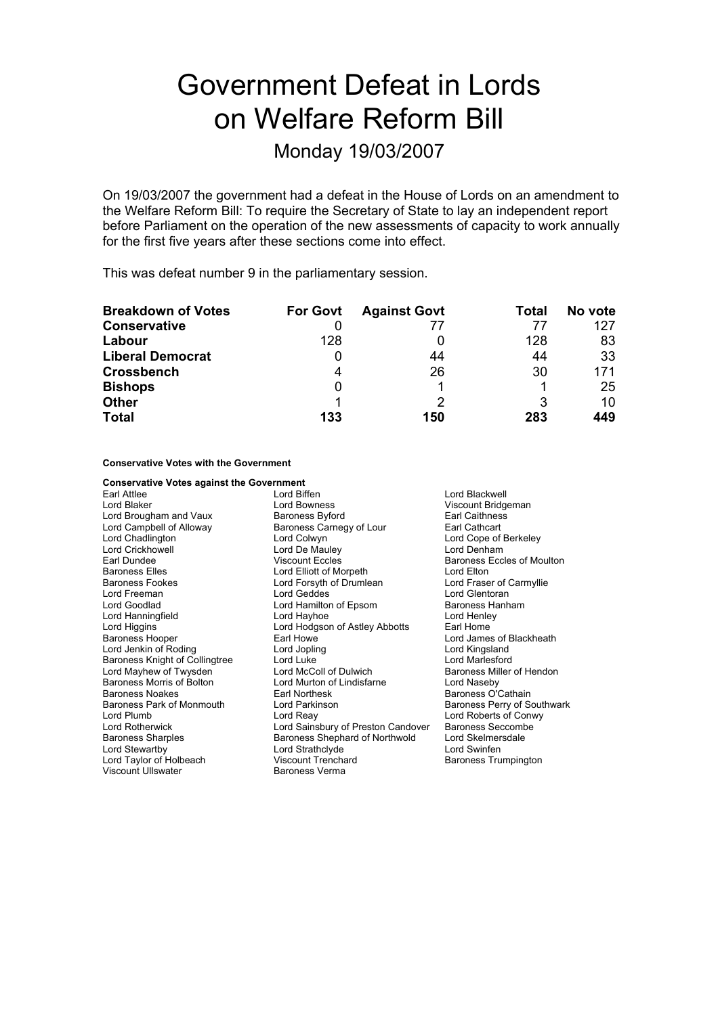# Government Defeat in Lords on Welfare Reform Bill

### Monday 19/03/2007

On 19/03/2007 the government had a defeat in the House of Lords on an amendment to the Welfare Reform Bill: To require the Secretary of State to lay an independent report before Parliament on the operation of the new assessments of capacity to work annually for the first five years after these sections come into effect.

This was defeat number 9 in the parliamentary session.

| <b>Breakdown of Votes</b> | <b>For Govt</b> | <b>Against Govt</b> | Total | No vote |
|---------------------------|-----------------|---------------------|-------|---------|
| <b>Conservative</b>       |                 | 77                  |       | 127     |
| Labour                    | 128             |                     | 128   | 83      |
| <b>Liberal Democrat</b>   |                 | 44                  | 44    | 33      |
| <b>Crossbench</b>         | 4               | 26                  | 30    | 171     |
| <b>Bishops</b>            |                 |                     |       | 25      |
| <b>Other</b>              |                 |                     | 3     | 10      |
| <b>Total</b>              | 133             | 150                 | 283   | 449     |

**Conservative Votes with the Government**

| <b>Conservative Votes against the Government</b> |                                       |                             |
|--------------------------------------------------|---------------------------------------|-----------------------------|
| Earl Attlee                                      | Lord Biffen                           | Lord Blackwell              |
| Lord Blaker                                      | Lord Bowness                          | Viscount Bridgeman          |
| Lord Brougham and Vaux                           | <b>Baroness Byford</b>                | <b>Earl Caithness</b>       |
| Lord Campbell of Alloway                         | Baroness Carnegy of Lour              | Earl Cathcart               |
| Lord Chadlington                                 | Lord Colwyn                           | Lord Cope of Berkeley       |
| <b>Lord Crickhowell</b>                          | Lord De Mauley                        | Lord Denham                 |
| Earl Dundee                                      | <b>Viscount Eccles</b>                | Baroness Eccles of Moulton  |
| <b>Baroness Elles</b>                            | Lord Elliott of Morpeth<br>Lord Elton |                             |
| Baroness Fookes                                  | Lord Forsyth of Drumlean              | Lord Fraser of Carmyllie    |
| Lord Freeman                                     | Lord Geddes                           | Lord Glentoran              |
| Lord Goodlad                                     | Lord Hamilton of Epsom                | Baroness Hanham             |
| Lord Hanningfield                                | Lord Hayhoe                           | Lord Henley                 |
| Lord Higgins                                     | Lord Hodgson of Astley Abbotts        | Earl Home                   |
| <b>Baroness Hooper</b>                           | Earl Howe                             | Lord James of Blackheath    |
| Lord Jenkin of Roding                            | Lord Jopling                          | Lord Kingsland              |
| <b>Baroness Knight of Collingtree</b>            | Lord Luke                             | Lord Marlesford             |
| Lord Mayhew of Twysden                           | Lord McColl of Dulwich                | Baroness Miller of Hendon   |
| Baroness Morris of Bolton                        | Lord Murton of Lindisfarne            | Lord Naseby                 |
| Baroness Noakes                                  | Earl Northesk                         | Baroness O'Cathain          |
| Baroness Park of Monmouth                        | Lord Parkinson                        | Baroness Perry of Southwark |
| Lord Plumb                                       | Lord Reay                             | Lord Roberts of Conwy       |
| <b>Lord Rotherwick</b>                           | Lord Sainsbury of Preston Candover    | <b>Baroness Seccombe</b>    |
| <b>Baroness Sharples</b>                         | Baroness Shephard of Northwold        | Lord Skelmersdale           |
| Lord Stewartby                                   | Lord Strathclyde                      | Lord Swinfen                |
| Lord Taylor of Holbeach                          | <b>Viscount Trenchard</b>             | Baroness Trumpington        |
| Viscount Ullswater                               | <b>Baroness Verma</b>                 |                             |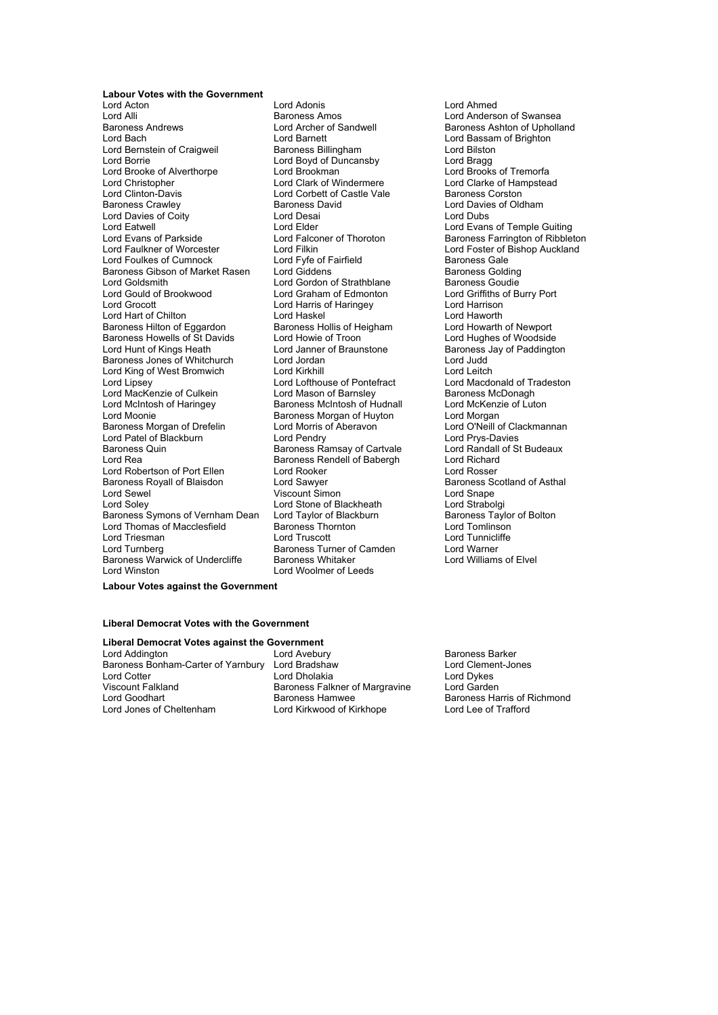### **Labour Votes with the Government**

Lord Acton Lord Adonis Lord Ahmed Lord Alli **Communist Communist Communist Communist Communist Communist Communist Communist Communist Communist Communist Communist Communist Communist Communist Communist Communist Communist Communist Communist Communist C** Baroness Andrews **Example 2** Lord Archer of Sandwell **Baroness Ashton of Upholland**<br>
Lord Baroness Ashton of Brighton **Corporation**<br>
Lord Bassam of Brighton Lord Bernstein of Craigweil **Baroness Billingham** Lord Bilston Lord Bilston Lord Bilston Lord Braque Lord Braque Lord Brooke of Alverthorpe Lord Brookman Lord Brooks of Tremorfa<br>
Lord Christopher Cord Clark of Windermere Lord Clarke of Hampstea Lord Christopher **Lord Clark of Windermere** Lord Clarke of Hampstead<br>
Lord Clinton-Davis **Lord Corbett of Castle Vale** Baroness Corston Lord Clinton-Davis Lord Corbett of Castle Vale<br>
Baroness Crawley Baroness David Lord Davies of Coity Lord Eatwell Lord Elder Lord Elder Lord Evans of Temple Guiting<br>Lord Evans of Parkside Lord Ealconer of Thoroton Baroness Farrington of Ribblet Lord Faulkner of Worcester Lord Filkin Lord Foster of Bishop Auckland<br>Lord Foulkes of Cumnock Lord Fyfe of Fairfield Baroness Gale Lord Foulkes of Cumnock Lord Fyfe of Fairfield Baroness Gale<br>Baroness Gibson of Market Rasen Lord Giddens Colding Baroness Golding Baroness Gibson of Market Rasen Lord Giddens **Baroness Golding**<br>Lord Goldsmith Lord Gordon of Strathblane Baroness Goudie Lord Gould of Brookwood Lord Graham of Edmonton Lord Griffiths of Burry Port<br>
Lord Grocott Lord Haris of Haringey Lord Harison Lord Hart of Chilton Lord Haskel Lord Haworth Baroness Hilton of Eggardon Baroness Hollis of Heigham Lord Howarth of Newport<br>Baroness Howells of St Davids Lord Howie of Troon Lord Hughes of Woodside Baroness Howells of St Davids Lord Howie of Troon<br>Lord Hunt of Kings Heath Lord Janner of Braunstone Baroness Jones of Whitchurch Lord King of West Bromwich Lord Kirkhill<br>
Lord Lord Lofthouse of Pontefract Lord Macdo<br>
Lord Lipsey Lord Macdo Lord Lipsey Lord Lofthouse of Pontefract Lord Macdonald of Tradeston<br>
Lord MacKenzie of Culkein Lord Mason of Barnsley Baroness McDonagh Lord MacKenzie of Culkein Lord Mason of Barnsley Baroness McDonagh<br>
Lord McIntosh of Haringey Baroness McIntosh of Hudnall Lord McKenzie of Luton Lord McIntosh of Haringey **Baroness McIntosh of Hudnall** Lord McKenz<br>Lord Moonie **Baroness Morgan of Huyton** Lord Morgan Baroness Morgan of Drefelin Lord Morris of Aberavon<br>Lord Patel of Blackburn Lord Pendry Lord O'Neill of Clackmannan Lord Patel of Blackburn Baroness Quin **Baroness Ramsay of Cartvale** Carto Card Randall of St Budeaux<br>
Lord Rea Cord Cartoness Rendell of Babergh Lord Richard Lord Robertson of Port Ellen Lord Rooker Consument Cord Rosser<br>Baroness Rovall of Blaisdon Lord Sawver Corp. Baroness Scotland of Asthal Baroness Royall of Blaisdon **Carolic Sawyer Constructs Baroness Scotland Constructs** Lord Sample Cord Snape Lord Soley **Lord Stone of Blackheath** Lord Strabolgi<br>Baroness Symons of Vernham Dean Lord Taylor of Blackburn Baroness Taylor of Bolton Baroness Symons of Vernham Dean Lord Taylor of Blackburn Baroness Taylor Charles Taylor Charles Taylor of Blackburn Baroness Taylor Charles Taylor Charles Taylor Charles Baroness Therminson Lord Thomas of Macclesfield Franchess Thorness Thornton Lord Truscott Lord Triesman **Lord Truscott** Lord Truscott Lord Tunnicliffe<br>
Lord Turnberg **Communication**<br>
Lord Turnberg **Communication**<br>
Baroness Turner of Camden Baroness Warwick of Undercliffe<br>Lord Winston

Lord Barnett<br>
Baroness Billingham<br>
Lord Bilston<br>
Lord Bilston Lord Boyd of Duncansby Baroness David **Baroness David Lord Davies of Oldham**<br>
Lord Desai Lord Gordon of Strathblane Lord Harris of Haringey Lord Harrison<br>
Lord Haskel Lord Haworth Lord Janner of Braunstone **Baroness** Jay of Paddington<br>Lord Janner of Braunstone **of Braunstone of Audament** Baroness Morgan of Huyton<br>
Lord Morris of Aberavon<br>
Lord O'Neill of Clackmannan Baroness Rendell of Babergh Lord Richard<br>Lord Rooker Lord Rosser Viscount Simon<br>
Lord Stone of Blackheath<br>
Lord Strabolgi **Baroness Turner of Camden** Lord Warner<br> **Baroness Whitaker** Lord Williams of Elvel Lord Winston Lord Woolmer of Leeds

Lord Falconer of Thoroton **Baroness Farrington of Ribbleton Lord Filter** Lord Engine Baroness Farrington of Ribbleton

**Labour Votes against the Government**

### **Liberal Democrat Votes with the Government**

### **Liberal Democrat Votes against the Government**<br>Lord Addington **butch** Lord Avebury

Baroness Bonham-Carter of Yarnbury Lord Bradshaw Lord Cotter Lord Divideo Lord Dholakia Lord Dykes<br>
Viscount Falkland Corporation Character Corporation Character Corporation Character Character Character Char<br>
Lord Garder Viscount Falkland **National Baroness Falkner of Margravine** Lord Garden<br>
Lord Goodhart **Caroliness Hammed Baroness Hammed Baroness Hammed Baroness Hammed Baroness Hammed Baroness Hammed B** Lord Goodhart **Baroness Hamwee** Baroness Hamilton Baroness Harris of Richmond<br>
Lord Jones of Cheltenham **Baroness Hamwee** Lord Lord Lee of Trafford

Lord Kirkwood of Kirkhope

Baroness Barker<br>Lord Clement-Jones